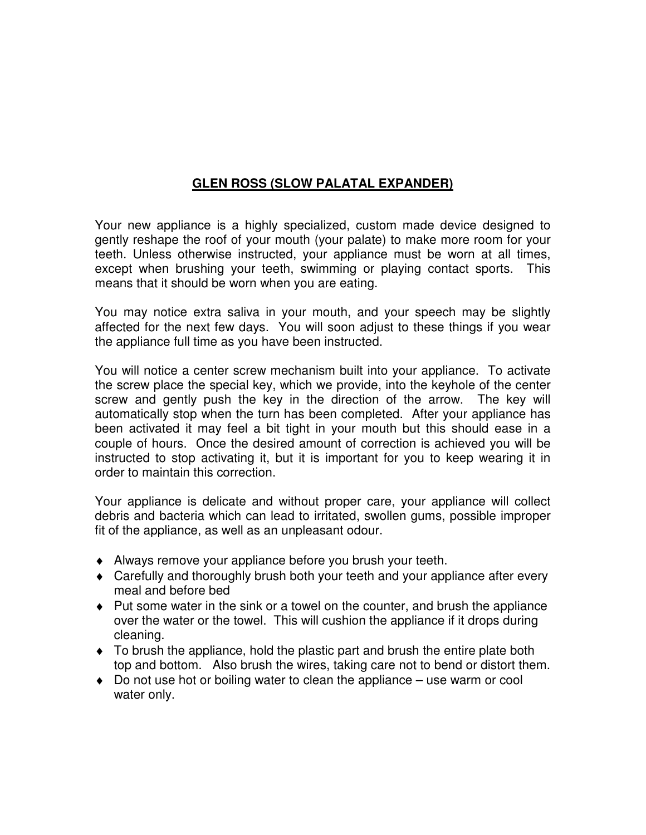## **GLEN ROSS (SLOW PALATAL EXPANDER)**

Your new appliance is a highly specialized, custom made device designed to gently reshape the roof of your mouth (your palate) to make more room for your teeth. Unless otherwise instructed, your appliance must be worn at all times, except when brushing your teeth, swimming or playing contact sports. This means that it should be worn when you are eating.

You may notice extra saliva in your mouth, and your speech may be slightly affected for the next few days. You will soon adjust to these things if you wear the appliance full time as you have been instructed.

You will notice a center screw mechanism built into your appliance. To activate the screw place the special key, which we provide, into the keyhole of the center screw and gently push the key in the direction of the arrow. The key will automatically stop when the turn has been completed. After your appliance has been activated it may feel a bit tight in your mouth but this should ease in a couple of hours. Once the desired amount of correction is achieved you will be instructed to stop activating it, but it is important for you to keep wearing it in order to maintain this correction.

Your appliance is delicate and without proper care, your appliance will collect debris and bacteria which can lead to irritated, swollen gums, possible improper fit of the appliance, as well as an unpleasant odour.

- ♦ Always remove your appliance before you brush your teeth.
- ♦ Carefully and thoroughly brush both your teeth and your appliance after every meal and before bed
- ♦ Put some water in the sink or a towel on the counter, and brush the appliance over the water or the towel. This will cushion the appliance if it drops during cleaning.
- ♦ To brush the appliance, hold the plastic part and brush the entire plate both top and bottom. Also brush the wires, taking care not to bend or distort them.
- $\bullet$  Do not use hot or boiling water to clean the appliance  $-$  use warm or cool water only.